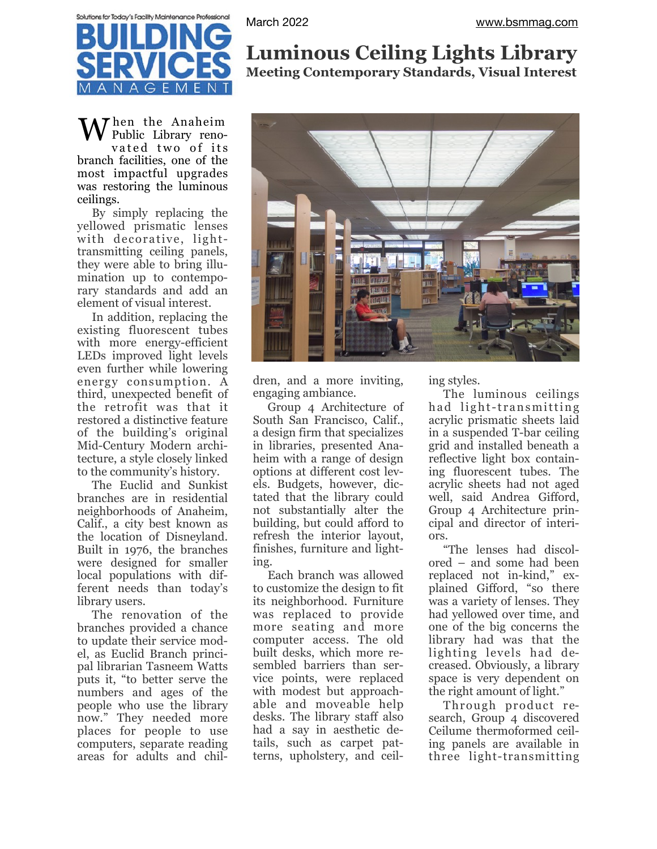

When the Anaheim Public Library renovated two of its branch facilities, one of the most impactful upgrades was restoring the luminous ceilings.

By simply replacing the yellowed prismatic lenses with decorative, lighttransmitting ceiling panels, they were able to bring illumination up to contemporary standards and add an element of visual interest.

In addition, replacing the existing fluorescent tubes with more energy-efficient LEDs improved light levels even further while lowering energy consumption. A third, unexpected benefit of the retrofit was that it restored a distinctive feature of the building's original Mid-Century Modern architecture, a style closely linked to the community's history.

The Euclid and Sunkist branches are in residential neighborhoods of Anaheim, Calif., a city best known as the location of Disneyland. Built in 1976, the branches were designed for smaller local populations with different needs than today's library users.

The renovation of the branches provided a chance to update their service model, as Euclid Branch principal librarian Tasneem Watts puts it, "to better serve the numbers and ages of the people who use the library now." They needed more places for people to use computers, separate reading areas for adults and chil-

## **Luminous Ceiling Lights Library Meeting Contemporary Standards, Visual Interest**



dren, and a more inviting, engaging ambiance.

Group 4 Architecture of South San Francisco, Calif., a design firm that specializes in libraries, presented Anaheim with a range of design options at different cost levels. Budgets, however, dictated that the library could not substantially alter the building, but could afford to refresh the interior layout, finishes, furniture and lighting.

Each branch was allowed to customize the design to fit its neighborhood. Furniture was replaced to provide more seating and more computer access. The old built desks, which more resembled barriers than service points, were replaced with modest but approachable and moveable help desks. The library staff also had a say in aesthetic details, such as carpet patterns, upholstery, and ceiling styles.

The luminous ceilings had light-transmitting acrylic prismatic sheets laid in a suspended T-bar ceiling grid and installed beneath a reflective light box containing fluorescent tubes. The acrylic sheets had not aged well, said Andrea Gifford, Group 4 Architecture principal and director of interiors.

"The lenses had discolored – and some had been replaced not in-kind," explained Gifford, "so there was a variety of lenses. They had yellowed over time, and one of the big concerns the library had was that the lighting levels had decreased. Obviously, a library space is very dependent on the right amount of light."

Through product research, Group 4 discovered Ceilume thermoformed ceiling panels are available in three light-transmitting